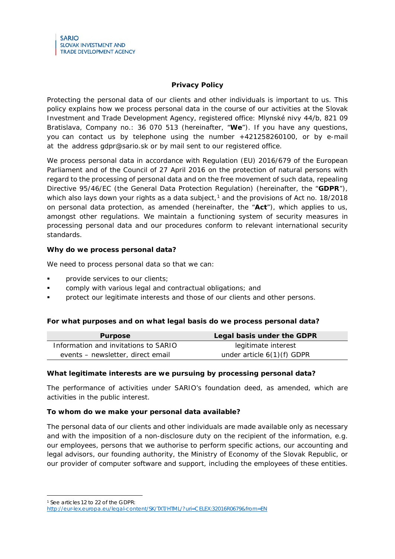# **Privacy Policy**

Protecting the personal data of our clients and other individuals is important to us. This policy explains how we process personal data in the course of our activities at the Slovak Investment and Trade Development Agency, registered office: Mlynské nivy 44/b, 821 09 Bratislava, Company no.: 36 070 513 (hereinafter, "**We**"). If you have any questions, you can contact us by telephone using the number +421258260100, or by e-mail at the address gdpr@sario.sk or by mail sent to our registered office.

We process personal data in accordance with Regulation (EU) 2016/679 of the European Parliament and of the Council of 27 April 2016 on the protection of natural persons with regard to the processing of personal data and on the free movement of such data, repealing Directive 95/46/EC (the General Data Protection Regulation) (hereinafter, the "**GDPR**"), which also lays down your rights as a data subject, $1$  and the provisions of Act no. 18/2018 on personal data protection, as amended (hereinafter, the "**Act**"), which applies to us, amongst other regulations. We maintain a functioning system of security measures in processing personal data and our procedures conform to relevant international security standards.

## **Why do we process personal data?**

We need to process personal data so that we can:

- provide services to our clients;
- comply with various legal and contractual obligations; and
- protect our legitimate interests and those of our clients and other persons.

### **For what purposes and on what legal basis do we process personal data?**

| <b>Purpose</b>                       | Legal basis under the GDPR   |
|--------------------------------------|------------------------------|
| Information and invitations to SARIO | legitimate interest          |
| events – newsletter, direct email    | under article $6(1)(f)$ GDPR |

### **What legitimate interests are we pursuing by processing personal data?**

The performance of activities under SARIO's foundation deed, as amended, which are activities in the public interest.

### **To whom do we make your personal data available?**

The personal data of our clients and other individuals are made available only as necessary and with the imposition of a non-disclosure duty on the recipient of the information, e.g. our employees, persons that we authorise to perform specific actions, our accounting and legal advisors, our founding authority, the Ministry of Economy of the Slovak Republic, or our provider of computer software and support, including the employees of these entities.

<span id="page-0-0"></span><sup>1</sup> See articles 12 to 22 of the GDPR:

<http://eur-lex.europa.eu/legal-content/SK/TXT/HTML/?uri=CELEX:32016R0679&from=EN>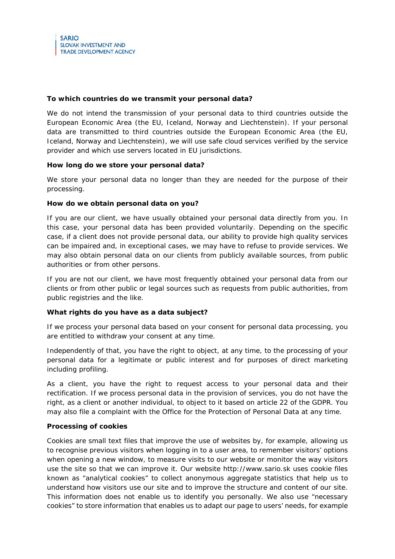### **To which countries do we transmit your personal data?**

We do not intend the transmission of your personal data to third countries outside the European Economic Area (the EU, Iceland, Norway and Liechtenstein). If your personal data are transmitted to third countries outside the European Economic Area (the EU, Iceland, Norway and Liechtenstein), we will use safe cloud services verified by the service provider and which use servers located in EU jurisdictions.

## **How long do we store your personal data?**

We store your personal data no longer than they are needed for the purpose of their processing.

## **How do we obtain personal data on you?**

If you are our client, we have usually obtained your personal data directly from you. In this case, your personal data has been provided voluntarily. Depending on the specific case, if a client does not provide personal data, our ability to provide high quality services can be impaired and, in exceptional cases, we may have to refuse to provide services. We may also obtain personal data on our clients from publicly available sources, from public authorities or from other persons.

If you are not our client, we have most frequently obtained your personal data from our clients or from other public or legal sources such as requests from public authorities, from public registries and the like.

### **What rights do you have as a data subject?**

If we process your personal data based on your consent for personal data processing, you are entitled to withdraw your consent at any time.

Independently of that, you have the right to object, at any time, to the processing of your personal data for a legitimate or public interest and for purposes of direct marketing including profiling.

As a client, you have the right to request access to your personal data and their rectification. If we process personal data in the provision of services, you do not have the right, as a client or another individual, to object to it based on article 22 of the GDPR. You may also file a complaint with the Office for the Protection of Personal Data at any time.

### **Processing of cookies**

Cookies are small text files that improve the use of websites by, for example, allowing us to recognise previous visitors when logging in to a user area, to remember visitors' options when opening a new window, to measure visits to our website or monitor the way visitors use the site so that we can improve it. Our website http://www.sario.sk uses cookie files known as "analytical cookies" to collect anonymous aggregate statistics that help us to understand how visitors use our site and to improve the structure and content of our site. This information does not enable us to identify you personally. We also use "necessary cookies" to store information that enables us to adapt our page to users' needs, for example